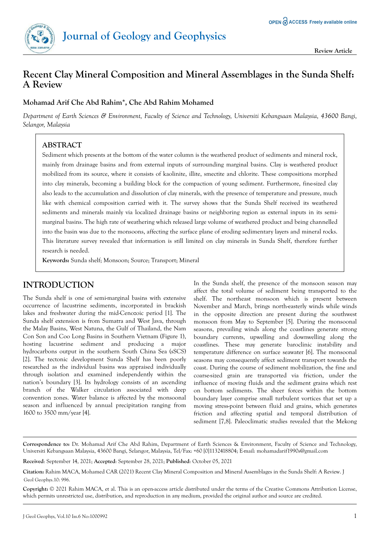

# **Recent Clay Mineral Composition and Mineral Assemblages in the Sunda Shelf: A Review**

#### **Mohamad Arif Che Abd Rahim\*, Che Abd Rahim Mohamed**

*Department of Earth Sciences & Environment, Faculty of Science and Technology, Universiti Kebangsaan Malaysia, 43600 Bangi, Selangor, Malaysia*

### **ABSTRACT**

Sediment which presents at the bottom of the water column is the weathered product of sediments and mineral rock, mainly from drainage basins and from external inputs of surrounding marginal basins. Clay is weathered product mobilized from its source, where it consists of kaolinite, illite, smectite and chlorite. These compositions morphed into clay minerals, becoming a building block for the compaction of young sediment. Furthermore, fine-sized clay also leads to the accumulation and dissolution of clay minerals, with the presence of temperature and pressure, much like with chemical composition carried with it. The survey shows that the Sunda Shelf received its weathered sediments and minerals mainly via localized drainage basins or neighboring region as external inputs in its semimarginal basins. The high rate of weathering which released large volume of weathered product and being channelled into the basin was due to the monsoons, affecting the surface plane of eroding sedimentary layers and mineral rocks. This literature survey revealed that information is still limited on clay minerals in Sunda Shelf, therefore further research is needed.

**Keywords:** Sunda shelf; Monsoon; Source; Transport; Mineral

## **INTRODUCTION**

The Sunda shelf is one of semi-marginal basins with extensive occurrence of lacustrine sediments, incorporated in brackish lakes and freshwater during the mid-Cenozoic period [1]. The Sunda shelf extension is from Sumatra and West Java, through the Malay Basins, West Natuna, the Gulf of Thailand, the Nam Con Son and Coo Long Basins in Southern Vietnam (Figure 1), hosting lacustrine sediment and producing a major hydrocarbons output in the southern South China Sea (sSCS) [2]. The tectonic development Sunda Shelf has been poorly researched as the individual basins was appraised individually through isolation and examined independently within the nation's boundary [3]. Its hydrology consists of an ascending branch of the Walker circulation associated with deep convention zones. Water balance is affected by the monsoonal season and influenced by annual precipitation ranging from 1600 to 3500 mm/year [4].

In the Sunda shelf, the presence of the monsoon season may affect the total volume of sediment being transported to the shelf. The northeast monsoon which is present between November and March, brings north-easterly winds while winds in the opposite direction are present during the southwest monsoon from May to September [5]. During the monsoonal seasons, prevailing winds along the coastlines generate strong boundary currents, upwelling and downwelling along the coastlines. These may generate baroclinic instability and temperature difference on surface seawater [6]. The monsoonal seasons may consequently affect sediment transport towards the coast. During the course of sediment mobilization, the fine and coarse-sized grain are transported via friction, under the influence of moving fluids and the sediment grains which rest on bottom sediments. The sheer forces within the bottom boundary layer comprise small turbulent vortices that set up a moving stress-point between fluid and grains, which generates friction and affecting spatial and temporal distribution of sediment [7,8]. Paleoclimatic studies revealed that the Mekong

**Received**: September 14, 2021; **Accepted**: September 28, 2021; **Published**: October 05, 2021

**Copyright:** © 2021 Rahim MACA, et al. This is an open-access article distributed under the terms of the Creative Commons Attribution License, which permits unrestricted use, distribution, and reproduction in any medium, provided the original author and source are credited.

**Correspondence to:** Dr. Mohamad Arif Che Abd Rahim, Department of Earth Sciences & Environment, Faculty of Science and Technology, Universiti Kebangsaan Malaysia, 43600 Bangi, Selangor, Malaysia, Tel/Fax: +60 [0]1132418804; E-mail: mohamadarif1990s@gmail.com

**Citation:** Rahim MACA, Mohamed CAR (2021) Recent Clay Mineral Composition and Mineral Assemblages in the Sunda Shelf: A Review. J Geol Geophys.10: 996.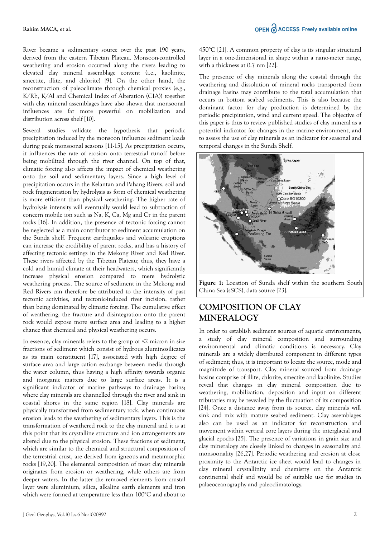River became a sedimentary source over the past 190 years, derived from the eastern Tibetan Plateau. Monsoon-controlled weathering and erosion occurred along the rivers leading to elevated clay mineral assemblage content (i.e., kaolinite, smectite, illite, and chlorite) [9]. On the other hand, the reconstruction of paleoclimate through chemical proxies (e.g., K/Rb, K/Al and Chemical Index of Alteration (CIA)) together with clay mineral assemblages have also shown that monsoonal influences are far more powerful on mobilization and distribution across shelf [10].

Several studies validate the hypothesis that periodic precipitation induced by the monsoon influence sediment loads during peak monsoonal seasons [11-15]. As precipitation occurs, it influences the rate of erosion onto terrestrial runoff before being mobilized through the river channel. On top of that, climatic forcing also affects the impact of chemical weathering onto the soil and sedimentary layers. Since a high level of precipitation occurs in the Kelantan and Pahang Rivers, soil and rock fragmentation by hydrolysis as form of chemical weathering is more efficient than physical weathering. The higher rate of hydrolysis intensity will eventually would lead to subtraction of concern mobile ion such as Na, K, Ca, Mg and Cr in the parent rocks [16]. In addition, the presence of tectonic forcing cannot be neglected as a main contributor to sediment accumulation on the Sunda shelf. Frequent earthquakes and volcanic eruptions can increase the erodibility of parent rocks, and has a history of affecting tectonic settings in the Mekong River and Red River. These rivers affected by the Tibetan Plateau; thus, they have a cold and humid climate at their headwaters, which significantly increase physical erosion compared to mere hydrolytic weathering process. The source of sediment in the Mekong and Red Rivers can therefore be attributed to the intensity of past tectonic activities, and tectonic-induced river incision, rather than being dominated by climatic forcing. The cumulative effect of weathering, the fracture and disintegration onto the parent rock would expose more surface area and leading to a higher chance that chemical and physical weathering occurs.

In essence, clay minerals refers to the group of  $\leq 2$  micron in size fractions of sediment which consist of hydrous aluminosilicates as its main constituent [17], associated with high degree of surface area and large cation exchange between media through the water column, thus having a high affinity towards organic and inorganic matters due to large surface areas. It is a significant indicator of marine pathways to drainage basins; where clay minerals are channelled through the river and sink in coastal shores in the same region [18]. Clay minerals are physically transformed from sedimentary rock, when continuous erosion leads to the weathering of sedimentary layers. This is the transformation of weathered rock to the clay mineral and it is at this point that its crystalline structure and ion arrangements are altered due to the physical erosion. These fractions of sediment, which are similar to the chemical and structural composition of the terrestrial crust, are derived from igneous and metamorphic rocks [19,20]. The elemental composition of most clay minerals originates from erosion or weathering, while others are from deeper waters. In the latter the removed elements from crustal layer were aluminium, silica, alkaline earth elements and iron which were formed at temperature less than 100°C and about to 450°C [21]. A common property of clay is its singular structural layer in a one-dimensional in shape within a nano-meter range, with a thickness at 0.7 nm [22].

The presence of clay minerals along the coastal through the weathering and dissolution of mineral rocks transported from drainage basins may contribute to the total accumulation that occurs in bottom seabed sediments. This is also because the dominant factor for clay production is determined by the periodic precipitation, wind and current speed. The objective of this paper is thus to review published studies of clay mineral as a potential indicator for changes in the marine environment, and to assess the use of clay minerals as an indicator for seasonal and temporal changes in the Sunda Shelf.



**Figure 1:** Location of Sunda shelf within the southern South China Sea (sSCS), data source [23].

## **COMPOSITION OF CLAY MINERALOGY**

In order to establish sediment sources of aquatic environments, a study of clay mineral composition and surrounding environmental and climatic conditions is necessary. Clay minerals are a widely distributed component in different types of sediment; thus, it is important to locate the source, mode and magnitude of transport. Clay mineral sourced from drainage basins comprise of illite, chlorite, smectite and kaolinite. Studies reveal that changes in clay mineral composition due to weathering, mobilization, deposition and input on different tributaries may be revealed by the fluctuation of its composition [24]. Once a distance away from its source, clay minerals will sink and mix with mature seabed sediment. Clay assemblages also can be used as an indicator for reconstruction and movement within vertical core layers during the interglacial and glacial epochs [25]. The presence of variations in grain size and clay mineralogy are closely linked to changes in seasonality and monsoonality [26,27]. Periodic weathering and erosion at close proximity to the Antarctic ice sheet would lead to changes in clay mineral crystallinity and chemistry on the Antarctic continental shelf and would be of suitable use for studies in palaeoceanography and paleoclimatology.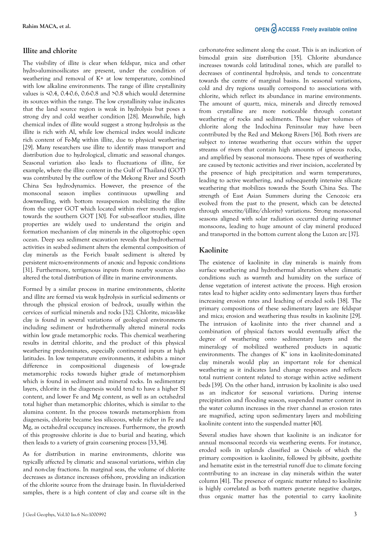### **Illite and chlorite**

The visibility of illite is clear when feldspar, mica and other hydro-aluminosilicates are present, under the condition of weathering and removal of K+ at low temperature, combined with low alkaline environments. The range of illite crystallinity values is <0.4, 0.4-0.6, 0.6-0.8 and >0.8 which would determine its sources within the range. The low crystallinity value indicates that the land source region is weak in hydrolysis but poses a strong dry and cold weather condition [28]. Meanwhile, high chemical index of illite would suggest a strong hydrolysis as the illite is rich with Al, while low chemical index would indicate rich content of Fe-Mg within illite, due to physical weathering [29]. Many researchers use illite to identify mass transport and distribution due to hydrological, climatic and seasonal changes. Seasonal variation also leads to fluctuations of illite, for example, where the illite content in the Gulf of Thailand (GOT) was contributed by the outflow of the Mekong River and South China Sea hydrodynamics. However, the presence of the monsoonal season implies continuous upwelling and downwelling, with bottom resuspension mobilizing the illite from the upper GOT which located within river mouth region towards the southern GOT [30]. For sub-seafloor studies, illite properties are widely used to understand the origin and formation mechanism of clay minerals in the oligotrophic open ocean. Deep sea sediment excavation reveals that hydrothermal activities in seabed sediment alters the elemental composition of clay minerals as the Fe-rich basalt sediment is altered by persistent micro-environments of anoxic and hypoxic conditions [31]. Furthermore, terrigenous inputs from nearby sources also altered the total distribution of illite in marine environments.

Formed by a similar process in marine environments, chlorite and illite are formed via weak hydrolysis in surficial sediments or through the physical erosion of bedrock, usually within the cervices of surficial minerals and rocks [32]. Chlorite, micas-like clay is found in several variations of geological environments including sediment or hydrothermally altered mineral rocks within low grade metamorphic rocks. This chemical weathering results in detrital chlorite, and the product of this physical weathering predominates, especially continental inputs at high latitudes. In low temperature environments, it exhibits a minor difference in compositional diagenesis of low-grade metamorphic rocks towards higher grade of metamorphism which is found in sediment and mineral rocks. In sedimentary layers, chlorite in the diagenesis would tend to have a higher SI content, and lower Fe and Mg content, as well as an octahedral total higher than metamorphic chlorites, which is similar to the alumina content. In the process towards metamorphism from diagenesis, chlorite became less siliceous, while richer in Fe and Mg, as octahedral occupancy increases. Furthermore, the growth of this progressive chlorite is due to burial and heating, which then leads to a variety of grain coarsening process [33,34].

As for distribution in marine environments, chlorite was typically affected by climatic and seasonal variations, within clay and non-clay fractions. In marginal seas, the volume of chlorite decreases as distance increases offshore, providing an indication of the chlorite source from the drainage basin. In fluvial-derived samples, there is a high content of clay and coarse silt in the

carbonate-free sediment along the coast. This is an indication of bimodal grain size distribution [35]. Chlorite abundance increases towards cold latitudinal zones, which are parallel to decreases of continental hydrolysis, and tends to concentrate towards the centre of marginal basins. In seasonal variations, cold and dry regions usually correspond to associations with chlorite, which reflect its abundance in marine environments. The amount of quartz, mica, minerals and directly removed from crystalline are more noticeable through constant weathering of rocks and sediments. Those higher volumes of chlorite along the Indochina Peninsular may have been contributed by the Red and Mekong Rivers [36]. Both rivers are subject to intense weathering that occurs within the upper streams of rivers that contain high amounts of igneous rocks, and amplified by seasonal monsoons. These types of weathering are caused by tectonic activities and river incision, accelerated by the presence of high precipitation and warm temperatures, leading to active weathering, and subsequently intensive silicate weathering that mobilizes towards the South China Sea. The strength of East Asian Summers during the Cenozoic era evolved from the past to the present, which can be detected through smectite/(illite/chlorite) variations. Strong monsoonal seasons aligned with solar radiation occurred during summer monsoons, leading to huge amount of clay mineral produced and transported in the bottom current along the Luzon arc [37].

#### **Kaolinite**

The existence of kaolinite in clay minerals is mainly from surface weathering and hydrothermal alteration where climatic conditions such as warmth and humidity on the surface of dense vegetation of interest activate the process. High erosion rates lead to higher acidity onto sedimentary layers thus further increasing erosion rates and leaching of eroded soils [38]. The primary compositions of these sedimentary layers are feldspar and mica; erosion and weathering thus results in kaolinite [29]. The intrusion of kaolinite into the river channel and a combination of physical factors would eventually affect the degree of weathering onto sedimentary layers and the mineralogy of mobilized weathered products in aquatic environments. The changes of  $K^+$  ions in kaolinite-dominated clay minerals would play an important role for chemical weathering as it indicates land change responses and reflects total nutrient content related to storage within active sediment beds [39]. On the other hand, intrusion by kaolinite is also used as an indicator for seasonal variations. During intense precipitation and flooding season, suspended matter content in the water column increases in the river channel as erosion rates are magnified, acting upon sedimentary layers and mobilizing kaolinite content into the suspended matter [40].

Several studies have shown that kaolinite is an indicator for annual monsoonal records via weathering events. For instance, eroded soils in uplands classified as Oxisols of which the primary composition is kaolinite, followed by gibbsite, goethite and hematite exist in the terrestrial runoff due to climate forcing contributing to an increase in clay minerals within the water column [41]. The presence of organic matter related to kaolinite is highly correlated as both matters generate negative charges, thus organic matter has the potential to carry kaolinite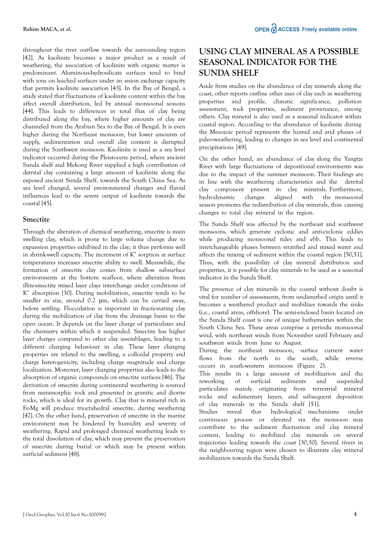throughout the river outflow towards the surrounding region [42]. As kaolinite becomes a major product as a result of weathering, the association of kaolinite with organic matter is predominant. Aluminous-hydrosilicate surfaces tend to bind with ions on leached surfaces under an anion exchange capacity that permits kaolinite association [43]. In the Bay of Bengal, a study stated that fluctuations of kaolinite content within the bay affect overall distribution, led by annual monsoonal seasons [44]. This leads to differences in total flux of clay being distributed along the bay, where higher amounts of clay are channeled from the Arabian Sea to the Bay of Bengal. It is even higher during the Northeast monsoon, but lower amounts of supply, sedimentation and overall clay content is disrupted during the Southwest monsoon. Kaolinite is used as a sea level indicator occurred during the Pleistocene period, where ancient Sunda shelf and Mekong River supplied a high contribution of detrital clay containing a large amount of kaolinite along the exposed ancient Sunda Shelf, towards the South China Sea. As sea level changed, several environmental changes and fluvial influences lead to the severe output of kaolinite towards the coastal [45].

#### **Smectite**

Through the alteration of chemical weathering, smectite is main swelling clay, which is prone to large volume change due to expansion properties exhibited in the clay; it thus performs well in shrink-swell capacity. The increment of  $K^*$  sorption at surface temperatures increases smectite ability to swell. Meanwhile, the formation of smectite clay comes from shallow subsurface environments at the bottom seafloor, where alteration from illite-smectite mixed layer clays interchange under conditions of K + absorption [30]. During mobilization, smectite tends to be smaller in size, around 0.2 μm, which can be carried away, before settling. Flocculation is important in fractionating clay during the mobilization of clay from the drainage basin to the open ocean. It depends on the layer charge of particulates and the chemistry within which it suspended. Smectite has higher layer charges compared to other clay assemblages, leading to a different charging behaviour in clay. These layer charging properties are related to the swelling, a colloidal property and charge heterogenicity, including charge magnitude and charge localization. Moreover, layer charging properties also leads to the absorption of organic compounds on smectite surfaces [46]. The derivation of smectite during continental weathering is sourced from metamorphic rock and presented in granitic and diorite rocks, which is ideal for its growth. Clay that is mineral rich in Fe-Mg will produce trioctahedral smectite, during weathering [47]. On the other hand, preservation of smectite in the marine environment may be hindered by humidity and severity of weathering. Rapid and prolonged chemical weathering leads to the total dissolution of clay, which may prevent the preservation of smectite during burial or which may be present within surficial sediment [48].

## **USING CLAY MINERAL AS A POSSIBLE SEASONAL INDICATOR FOR THE SUNDA SHELF**

Aside from studies on the abundance of clay minerals along the coast, other reports outline other uses of clay such as weathering properties and profile, climatic significance, pollution assessment, rock properties, sediment provenance, among others. Clay mineral is also used as a seasonal indicator within coastal region. According to the abundance of kaolinite during the Mesozoic period represents the humid and arid phases of paleo-weathering, leading to changes in sea level and continental precipitations [49].

On the other hand, an abundance of clay along the Yangtze River with large fluctuations of depositional environments was due to the impact of the summer monsoon. Their findings are in line with the weathering characteristics and the detrital clay component present in clay minerals. Furthermore, hydrodynamic changes aligned with the monsoonal season promotes the redistribution of clay minerals, thus causing changes to total clay mineral in the region.

The Sunda Shelf was affected by the northeast and southwest monsoons, which generate cyclonic and anti-cyclonic eddies while producing monsoonal tides and ebb. This leads to interchangeable phases between stratified and mixed water and affects the mixing of sediment within the coastal region [50,51]. Thus, with the possibility of clay mineral distribution and properties, it is possible for clay minerals to be used as a seasonal indicator in the Sunda Shelf.

The presence of clay minerals in the coastal without doubt is vital for number of assessments, from undisturbed origin until it becomes a weathered product and mobilizes towards the sinks (i.e., coastal areas, offshore). The semi-enclosed basin located on the Sunda Shelf coast is one of unique bathymetries within the South China Sea. These areas comprise a periodic monsoonal wind, with northeast winds from November until February and southwest winds from June to August.

During the northeast monsoon, surface current water flows from the north to the south, while reverse occurs in south-western monsoon (Figure 2).

This results in a large amount of mobilization and the reworking of surficial sediments and suspended particulates mainly originating from terrestrial mineral rocks and sedimentary layers, and subsequent deposition of clay minerals in the Sunda shelf [51].

Studies reveal that hydrological mechanisms under continuous process or elevated via the monsoon may contribute to the sediment fluctuation and clay mineral content, leading to mobilized clay minerals on several trajectories leading towards the coast [30,50]. Several rivers in the neighbouring region were chosen to illustrate clay mineral mobilization towards the Sunda Shelf.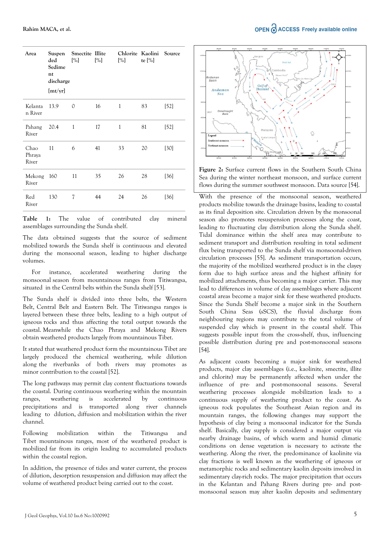| Area                    | ded<br>Sedime<br>nt<br>discharge<br>[mt/yr] | Suspen Smectite Illite<br>[%] | [%] | $[\%]$ | Chlorite Kaolini Source<br>te $[\%]$ |        |
|-------------------------|---------------------------------------------|-------------------------------|-----|--------|--------------------------------------|--------|
| Kelanta<br>n River      | 13.9                                        | $\Omega$                      | 16  | 1      | 83                                   | $[52]$ |
| Pahang<br>River         | 20.4                                        | $\mathbf{1}$                  | 17  | 1      | 81                                   | $[52]$ |
| Chao<br>Phraya<br>River | 11                                          | 6                             | 41  | 33     | 20                                   | $[30]$ |
| Mekong<br>River         | 160                                         | 11                            | 35  | 26     | 28                                   | [36]   |
| Red<br>River            | 130                                         | 7                             | 44  | 24     | 26                                   | [36]   |

**Table 1:** The value of contributed clay mineral assemblages surrounding the Sunda shelf.

The data obtained suggests that the source of sediment mobilized towards the Sunda shelf is continuous and elevated during the monsoonal season, leading to higher discharge volumes.

For instance, accelerated weathering during the monsoonal season from mountainous ranges from Titiwangsa, situated in the Central belts within the Sunda shelf [53].

The Sunda shelf is divided into three belts, the Western Belt, Central Belt and Eastern Belt. The Titiwangsa ranges is layered between these three belts, leading to a high output of igneous rocks and thus affecting the total output towards the coastal. Meanwhile the Chao Phraya and Mekong Rivers obtain weathered products largely from mountainous Tibet.

It stated that weathered product form the mountainous Tibet are largely produced the chemical weathering, while dilution along the riverbanks of both rivers may promotes as minor contribution to the coastal [52].

The long pathways may permit clay content fluctuations towards the coastal. During continuous weathering within the mountain ranges, weathering is accelerated by continuous precipitations and is transported along river channels leading to dilution, diffusion and mobilization within the river channel.

Following mobilization within the Titiwangsa and Tibet mountainous ranges, most of the weathered product is mobilized far from its origin leading to accumulated products within the coastal region.

In addition, the presence of tides and water current, the process of dilution, desorption resuspension and diffusion may affect the volume of weathered product being carried out to the coast.



**Figure 2:** Surface current flows in the Southern South China Sea during the winter northeast monsoon, and surface current flows during the summer southwest monsoon. Data source [54].

With the presence of the monsoonal season, weathered products mobilize towards the drainage basins, leading to coastal as its final deposition site. Circulation driven by the monsoonal season also promotes resuspension processes along the coast, leading to fluctuating clay distribution along the Sunda shelf. Tidal dominance within the shelf area may contribute to sediment transport and distribution resulting in total sediment flux being transported to the Sunda shelf via monsoonal-driven circulation processes [55]. As sediment transportation occurs, the majority of the mobilized weathered product is in the clayey form due to high surface areas and the highest affinity for mobilized attachments, thus becoming a major carrier. This may lead to differences in volume of clay assemblages where adjacent coastal areas become a major sink for these weathered products. Since the Sunda Shelf become a major sink in the Southern South China Seas (sSCS), the fluvial discharge from neighbouring regions may contribute to the total volume of suspended clay which is present in the coastal shelf. This suggests possible input from the cross-shelf, thus, influencing possible distribution during pre and post-monsoonal seasons [54].

As adjacent coasts becoming a major sink for weathered products, major clay assemblages (i.e., kaolinite, smectite, illite and chlorite) may be permanently affected when under the influence of pre- and post-monsoonal seasons. Several weathering processes alongside mobilization leads to a continuous supply of weathering product to the coast. As igneous rock populates the Southeast Asian region and its mountain ranges, the following changes may support the hypothesis of clay being a monsoonal indicator for the Sunda shelf. Basically, clay supply is considered a major output via nearby drainage basins, of which warm and humid climatic conditions on dense vegetation is necessary to activate the weathering. Along the river, the predominance of kaolinite via clay fractions is well known as the weathering of igneous or metamorphic rocks and sedimentary kaolin deposits involved in sedimentary clay-rich rocks. The major precipitation that occurs in the Kelantan and Pahang Rivers during pre- and postmonsoonal season may alter kaolin deposits and sedimentary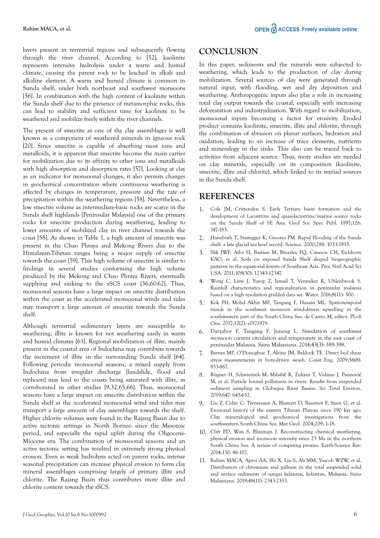layers present in terrestrial regions and subsequently flowing through the river channel. According to [52], kaolinite represents intensive hydrolysis under a warm and humid climate, causing the parent rock to be leached in alkali and alkaline element. A warm and humid climate is common in Sunda shelf, under both northeast and southwest monsoons [56]. In combination with the high content of kaolinite within the Sunda shelf due to the presence of metamorphic rocks, this can lead to stability and sufficient time for kaolinite to be weathered and mobilize freely within the river channels.

The present of smectite as one of the clay assemblages is well known as a component of weathered minerals in igneous rock [20]. Since smectite is capable of absorbing most ions and metalloids, it is apparent that smectite become the main carrier for mobilization due to its affinity to other ions and metalloids with high absorption and desorption rates [57]. Looking at clay as an indicator for monsoonal changes, it also permits changes in geochemical concentration where continuous weathering is affected by changes in temperature, pressure and the rate of precipitation within the weathering regions [58]. Nevertheless, a low smectite volume as intermediate-basic rocks are scarce in the Sunda shelf highlands [Peninsular Malaysia] one of the primary rocks for smectite production during weathering, leading to lower amounts of mobilized clay in river channel towards the coast [58]. As shown in Table 1, a high amount of smectite was present in the Chao Phraya and Mekong Rivers due to the Himalayan-Tibetan ranges being a major supply of smectite towards the coast [59]. This high volume of smectite is similar to findings in several studies conforming the high volume produced by the Mekong and Chao Phraya Rivers, eventually supplying and sinking to the sSCS coast [36,60-62]. Thus, monsoonal seasons have a large impact on smectite distribution within the coast as the accelerated monsoonal winds and tides may transport a large amount of smectite towards the Sunda shelf.

Although terrestrial sedimentary layers are susceptible to weathering, illite is known for not weathering easily in warm and humid climates [63]. Regional mobilization of illite, mainly present in the coastal area of Indochina may contribute towards the increment of illite in the surrounding Sunda shelf [64]. Following periodic monsoonal seasons, a mixed supply from Indochina from irregular discharge [landslide, flood and typhoon] may lead to the coasts being saturated with illite, as corroborated in other studies [9,32,65,66]. Thus, monsoonal seasons have a large impact on smectite distribution within the Sunda shelf as the accelerated monsoonal wind and tides may transport a large amount of clay assemblages towards the shelf. Higher chlorite volumes were found in the Rajang Basin due to active tectonic settings in North Borneo since the Mesozoic period, and especially the rapid uplift during the Oligocene-Miocene era. The combination of monsoonal seasons and an active tectonic setting has resulted in extremely strong physical erosion. Even as weak hydrolysis acted on parent rocks, intense seasonal precipitation can increase physical erosion to form clay mineral assemblages comprising largely of primary illite and chlorite. The Rajang Basin thus contributes more illite and chlorite content towards the sSCS.

### **CONCLUSION**

In this paper, sediments and the minerals were subjected to weathering, which leads to the production of clay during mobilization. Several sources of clay were generated through natural input, with flooding, wet and dry deposition and weathering. Anthropogenic inputs also play a role in increasing total clay output towards the coastal, especially with increasing deforestation and industrialization. With regard to mobilization, monsoonal inputs becoming a factor for erosivity. Eroded product contains kaolinite, smectite, illite and chlorite, through the combination of abrasion on planar surfaces, hydration and oxidation, leading to an increase of trace elements, nutrients and mineralogy in the sinks. This also can be traced back to activities from adjacent source. Thus, more studies are needed on clay minerals, especially on its composition (kaolinite, smectite, illite and chlorite), which linked to its myriad sources in the Sunda shelf.

### **REFERENCES**

- 1. [Cole JM, Crittenden S. Early Tertiary basin formation and the](https://doi.org/10.1144/GSL.SP.1997.126.01.12) [development of Lacustrine and quasi-lacustrine/marine source rocks](https://doi.org/10.1144/GSL.SP.1997.126.01.12) [on the Sunda Shelf of SE Asia. Geol Soc Spec Publ. 1997;126:](https://doi.org/10.1144/GSL.SP.1997.126.01.12) [147-183.](https://doi.org/10.1144/GSL.SP.1997.126.01.12)
- 2. [Hanebuth T, Stattegger K, Grootes PM. Rapid Flooding of the Sunda](https://doi.org/10.1126/science.288.5468.1033) [shelf: a late glacial sea level record. Science. 2000;288: 1033-1935.](https://doi.org/10.1126/science.288.5468.1033)
- 3. [Slik JWF, Aiba SI, Bastian M, Brearley FQ, Cannon CH, Eichhorn](https://doi.org/10.1073/pnas.1103353108) [KAO, et al. Soils on exposed Sunda Shelf shaped biogeographic](https://doi.org/10.1073/pnas.1103353108) [patterns in the equatorial forests of Southeast Asia. Proc Natl Acad Sci](https://doi.org/10.1073/pnas.1103353108) [USA. 2011;108\(30\): 12343-12347.](https://doi.org/10.1073/pnas.1103353108)
- 4. [Wong C, Liew J, Yusop Z, Ismail T, Venneker R, Uhlenbrook S.](https://doi.org/10.3390/w8110500) [Rainfall characteristics and regionalization in peninsular malaysia](https://doi.org/10.3390/w8110500) [based on a high resolution gridded data set. Water. 2016;8\(11\): 500.](https://doi.org/10.3390/w8110500)
- 5. [Kok PH, Mohd Akhir MF, Tangang F, Husain ML. Spatiotemporal](https://doi.org/10.1371/journal.pone.0171979) [trends in the southwest monsoon wind-driven upwelling in the](https://doi.org/10.1371/journal.pone.0171979) [southwestern part of the South China Sea. de Castro M, editor. PLoS](https://doi.org/10.1371/journal.pone.0171979) [One. 2017;12\(2\): e0171979.](https://doi.org/10.1371/journal.pone.0171979)
- 6. Daryabor F, Tangang F, Juneng L. Simulation of southwest monsoon current circulation and temperature in the east coast of peninsular Malaysia. Sains Malaysiana. 2014;43(3): 389-398.
- 7. [Barnes MP, O'Donoghue T, Alsina JM, Baldock TE. Direct bed shear](https://doi.org/10.1016/j.coastaleng.2009.04.004) [stress measurements in bore-driven swash. Coast Eng. 2009;56\(8\):](https://doi.org/10.1016/j.coastaleng.2009.04.004) [853-867.](https://doi.org/10.1016/j.coastaleng.2009.04.004)
- 8. Rügner H, Schwientek M, Milačič [R, Zuliani T, Vidmar J, Paunovi](https://doi.org/10.1016/j.scitotenv.2018.08.027)ć [M, et al. Particle bound pollutants in rivers: Results from suspended](https://doi.org/10.1016/j.scitotenv.2018.08.027) [sediment sampling in Globaqua River Basins. Sci Total Environ.](https://doi.org/10.1016/j.scitotenv.2018.08.027) [2019;647: 645-652.](https://doi.org/10.1016/j.scitotenv.2018.08.027)
- 9. [Liu Z, Colin C, Trentesaux A, Blamart D, Bassinot F, Siani G, et al.](https://doi.org/10.1016/j.margeo.2004.06.004) [Erosional history of the eastern Tibetan Plateau since 190 kyr ago:](https://doi.org/10.1016/j.margeo.2004.06.004) [Clay mineralogical and geochemical investigations from the](https://doi.org/10.1016/j.margeo.2004.06.004) [southwestern South China Sea. Mar Geol. 2004;209: 1-18.](https://doi.org/10.1016/j.margeo.2004.06.004)
- 10. [Clift PD, Wan S, Blusztajn J. Reconstructing chemical weathering,](https://doi.org/10.1016/j.earscirev.2014.01.002) [physical erosion and monsoon intensity since 25 Ma in the northern](https://doi.org/10.1016/j.earscirev.2014.01.002) [South China Sea: A review of competing proxies. Earth-Science Rev.](https://doi.org/10.1016/j.earscirev.2014.01.002) [2014;130: 86-102.](https://doi.org/10.1016/j.earscirev.2014.01.002)
- 11. [Rahim MACA, Aproi AA, Shi X, Liu S, Ali MM, Yaacob WZW, et al.](http://dx.doi.org/10.17576/jsm-2019-4811-06) [Distribution of chromium and gallium in the total suspended solid](http://dx.doi.org/10.17576/jsm-2019-4811-06) [and surface sediments of sungai kelantan, kelantan, Malaysia. Sains](http://dx.doi.org/10.17576/jsm-2019-4811-06) [Malaysiana. 2019;48\(11\): 2343-2353.](http://dx.doi.org/10.17576/jsm-2019-4811-06)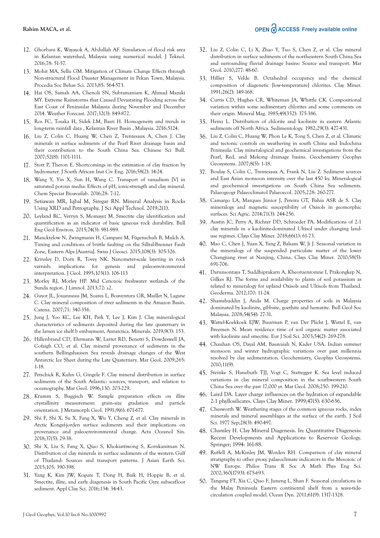- 12. [Ghorbani K, Wayayok A, Abdullah AF. Simulation of flood risk area](http://dx.doi.org/10.11113/jt.v78.7260) [in Kelantan watershed, Malaysia using numerical model. J Teknol.](http://dx.doi.org/10.11113/jt.v78.7260) [2016;78: 51-57.](http://dx.doi.org/10.11113/jt.v78.7260)
- 13. [Mohit MA, Sellu GM. Mitigation of Climate Change Effects through](http://dx.doi.org/10.1016/j.sbspro.2013.08.385) [Non-structural Flood Disaster Management in Pekan Town, Malaysia.](http://dx.doi.org/10.1016/j.sbspro.2013.08.385) [Procedia Soc Behav Sci. 2013;85: 564-573.](http://dx.doi.org/10.1016/j.sbspro.2013.08.385)
- 14. [Hai OS, Samah AA, Chenoli SN, Subramaniam K, Ahmad Mazuki](http://dx.doi.org/10.1175/WAF-D-16-0160.1) [MY. Extreme Rainstorms that Caused Devastating Flooding across the](http://dx.doi.org/10.1175/WAF-D-16-0160.1) [East Coast of Peninsular Malaysia during November and December](http://dx.doi.org/10.1175/WAF-D-16-0160.1) [2014. Weather Forecast. 2017;32\(3\): 849-872.](http://dx.doi.org/10.1175/WAF-D-16-0160.1)
- 15. [Ros FC, Tosaka H, Sidek LM, Basri H. Homogeneity and trends in](https://doi.org/10.1080/15715124.2015.1105233) [long-term rainfall data , Kelantan River Basin , Malaysia. 2016;5124.](https://doi.org/10.1080/15715124.2015.1105233)
- 16. [Liu Z, Colin C, Huang W, Chen Z, Trentesaux A, Chen J. Clay](http://dx.doi.org/10.1007/s11434-007-0161-9) [minerals in surface sediments of the Pearl River drainage basin and](http://dx.doi.org/10.1007/s11434-007-0161-9) [their contribution to the South China Sea. Chinese Sci Bull.](http://dx.doi.org/10.1007/s11434-007-0161-9) [2007;52\(8\): 1101-1111.](http://dx.doi.org/10.1007/s11434-007-0161-9)
- 17. [Stott P, Theron E. Shortcomings in the estimation of clay fraction by](https://doi.org/10.17159/2309-8775/2016/v58n2a2) [hydrometer. J South African Inst Civ Eng. 2016;58\(2\): 14-24.](https://doi.org/10.17159/2309-8775/2016/v58n2a2)
- 18. [Wang Y, Yin X, Sun H, Wang C. Transport of vanadium \[V\] in](https://doi.org/10.1080/09542299.2015.1133238) [saturated porous media: Effects of pH, ionic-strength and clay mineral.](https://doi.org/10.1080/09542299.2015.1133238) [Chem Speciat Bioavailab. 2016;28: 7-12.](https://doi.org/10.1080/09542299.2015.1133238)
- 19. Setiawan MR, Iqbal M, Siregar RN. Mineral Analysis in Rocks Using XRD and Petrography. J Sci Appl Technol. 2019;2(1).
- 20. [Leyland RC, Verryn S, Momayez M. Smectite clay identification and](https://doi.org/10.1007/s10064-014-0669-6) [quantification as an indicator of basic igneous rock durability. Bull](https://doi.org/10.1007/s10064-014-0669-6) [Eng Geol Environ. 2015;74\(3\): 981-989.](https://doi.org/10.1007/s10064-014-0669-6)
- 21. [Mancktelow N, Zwingmann H, Campani M, Fügenschuh B, Mulch A.](http://dx.doi.org/10.1007/s00015-015-0179-y) [Timing and conditions of brittle faulting on the Silltal-Brenner Fault](http://dx.doi.org/10.1007/s00015-015-0179-y) [Zone, Eastern Alps \[Austria\]. Swiss J Geosci. 2015;108\(3\): 305-326.](http://dx.doi.org/10.1007/s00015-015-0179-y)
- 22. [Krinsley D, Dorn R, Tovey NK. Nanometer-scale layering in rock](http://dx.doi.org/10.1086/629726) [varnish: implications for genesis and paleoenvironmental](http://dx.doi.org/10.1086/629726) [interpretation. J Geol. 1995;103\(1\): 106-113](http://dx.doi.org/10.1086/629726)
- 23. [Morley RJ, Morley HP. Mid Cenozoic freshwater wetlands of the](http://dx.doi.org/10.4081/jlimnol.2013.s2.e2) [Sunda region. J Limnol. 2013;72: s2.](http://dx.doi.org/10.4081/jlimnol.2013.s2.e2)
- 24. [Guyot JL, Jouanneau JM, Soares L, Boaventura GR, Maillet N, Lagane](https://doi.org/10.1016/j.catena.2007.02.002) [C. Clay mineral composition of river sediments in the Amazon Basin.](https://doi.org/10.1016/j.catena.2007.02.002) [Catena. 2007;71: 340-356.](https://doi.org/10.1016/j.catena.2007.02.002)
- 25. [Jung J, Yoo KC, Lee KH, Park Y, Lee J, Kim J. Clay mineralogical](http://dx.doi.org/10.3390/min9030153) [characteristics of sediments deposited during the late quaternary in](http://dx.doi.org/10.3390/min9030153) [the larsen ice shelf b embayment, Antarctica. Minerals. 2019;9\(3\): 153.](http://dx.doi.org/10.3390/min9030153)
- 26. [Hillenbrand CD, Ehrmann W, Larter RD, Benetti S, Dowdeswell JA,](http://dx.doi.org/10.1016/j.margeo.2009.06.009) [Cofaigh CO, et al. Clay mineral provenance of sediments in the](http://dx.doi.org/10.1016/j.margeo.2009.06.009) [southern Bellingshausen Sea reveals drainage changes of the West](http://dx.doi.org/10.1016/j.margeo.2009.06.009) [Antarctic Ice Sheet during the Late Quaternary. Mar Geol. 2009;265:](http://dx.doi.org/10.1016/j.margeo.2009.06.009) [1-18.](http://dx.doi.org/10.1016/j.margeo.2009.06.009)
- 27. [Petschick R, Kuhn G, Gingele F. Clay mineral distribution in surface](https://doi.org/10.1016/0025-3227(95)00148-4) [sediments of the South Atlantic: sources, transport, and relation to](https://doi.org/10.1016/0025-3227(95)00148-4) [oceanography. Mar Geol. 1996;130: 203-229.](https://doi.org/10.1016/0025-3227(95)00148-4)
- 28. [Krumm S, Buggisch W. Sample preparation effects on illite](https://doi.org/10.1111/j.1525-1314.1991.tb00557.x) [crystallinity measurement: grain](https://doi.org/10.1111/j.1525-1314.1991.tb00557.x)‐size gradation and particle [orientation. J Metamorph Geol. 1991;9\(6\): 671-677.](https://doi.org/10.1111/j.1525-1314.1991.tb00557.x)
- 29. [Shi F, Shi X, Su X, Fang X, Wu Y, Cheng Z, et al. Clay minerals in](http://dx.doi.org/10.1007/s13131-018-1220-6) [Arctic Kongsf-jorden surface sediments and their implications on](http://dx.doi.org/10.1007/s13131-018-1220-6) [provenance and paleoenvironmental change. Acta Oceanol Sin.](http://dx.doi.org/10.1007/s13131-018-1220-6) [2018;37\(5\): 29-38.](http://dx.doi.org/10.1007/s13131-018-1220-6)
- 30. [Shi X, Liu S, Fang X, Qiao S, Khokiattiwong S, Kornkanitnan N.](http://dx.doi.org/10.1016/j.jseaes.2015.02.005) [Distribution of clay minerals in surface sediments of the western Gulf](http://dx.doi.org/10.1016/j.jseaes.2015.02.005) [of Thailand: Sources and transport patterns. J Asian Earth Sci.](http://dx.doi.org/10.1016/j.jseaes.2015.02.005) [2015;105: 390-398.](http://dx.doi.org/10.1016/j.jseaes.2015.02.005)
- 31. [Yang K, Kim JW, Kogure T, Dong H, Baik H, Hoppie B, et al.](https://doi.org/10.1016/j.clay.2016.03.041) [Smectite, illite, and early diagenesis in South Pacific Gyre subseafloor](https://doi.org/10.1016/j.clay.2016.03.041) [sediment. Appl Clay Sci. 2016;134: 34-43.](https://doi.org/10.1016/j.clay.2016.03.041)
- 32. [Liu Z, Colin C, Li X, Zhao Y, Tuo S, Chen Z, et al. Clay mineral](http://dx.doi.org/10.1016/j.margeo.2010.08.010) [distribution in surface sediments of the northeastern South China Sea](http://dx.doi.org/10.1016/j.margeo.2010.08.010) [and surrounding fluvial drainage basins: Source and transport. Mar](http://dx.doi.org/10.1016/j.margeo.2010.08.010) [Geol. 2010;277: 48-60.](http://dx.doi.org/10.1016/j.margeo.2010.08.010)
- 33. [Hillier S, Velde B. Octahedral occupancy and the chemical](http://dx.doi.org/10.1180/claymin.1991.026.2.01) [composition of diagenetic \[low-temperature\] chlorites. Clay Miner.](http://dx.doi.org/10.1180/claymin.1991.026.2.01) [1991;26\(2\): 149-168.](http://dx.doi.org/10.1180/claymin.1991.026.2.01)
- 34. [Curtis CD, Hughes CR, Whiteman JA, Whittle CK. Compositional](https://doi.org/10.1180/minmag.1985.049.352.08) [variation within some sedimentary chlorites and some comments on](https://doi.org/10.1180/minmag.1985.049.352.08) [their origin. Mineral Mag. 1985;49\(352\): 375-386.](https://doi.org/10.1180/minmag.1985.049.352.08)
- 35. [Heinz L. Distribution of chlorite and kaolinite in eastern Atlantic](https://doi.org/10.1111/j.1365-3091.1982.tb01805.x) [sediments off North Africa. Sedimentology. 1982;29\(3\): 427-431.](https://doi.org/10.1111/j.1365-3091.1982.tb01805.x)
- 36. [Liu Z, Colin C, Huang W, Phon Le K, Tong S, Chen Z, et al. Climatic](http://dx.doi.org/10.1029/2006GC001490) [and tectonic controls on weathering in south China and Indochina](http://dx.doi.org/10.1029/2006GC001490) [Peninsula: Clay mineralogical and geochemical investigations from the](http://dx.doi.org/10.1029/2006GC001490) [Pearl, Red, and Mekong drainage basins. Geochemistry Geophys](http://dx.doi.org/10.1029/2006GC001490) [Geosystems. 2007;8\(5\): 1-18.](http://dx.doi.org/10.1029/2006GC001490)
- 37. [Boulay S, Colin C, Trentesaux A, Frank N, Liu Z. Sediment sources](https://doi.org/10.1016/j.palaeo.2005.06.005) [and East Asian monsoon intensity over the last 450 ky. Mineralogical](https://doi.org/10.1016/j.palaeo.2005.06.005) [and geochemical investigations on South China Sea sediments.](https://doi.org/10.1016/j.palaeo.2005.06.005) [Palaeogeogr Palaeoclimatol Palaeoecol. 2005;228: 260-277.](https://doi.org/10.1016/j.palaeo.2005.06.005)
- 38. [Camargo LA, Marques Júnior J, Pereira GT, Bahia ASR de S. Clay](https://doi.org/10.1590/S0103-90162014000300010) [mineralogy and magnetic susceptibility of Oxisols in geomorphic](https://doi.org/10.1590/S0103-90162014000300010) [surfaces. Sci Agric. 2014;71\(3\): 244-256.](https://doi.org/10.1590/S0103-90162014000300010)
- 39. [Austin JC, Perry A, Richter DD, Schroeder PA. Modifications of 2:1](https://doi.org/10.1346/CCMN.2017.064085) [clay minerals in a kaolinite-dominated Ultisol under changing land](https://doi.org/10.1346/CCMN.2017.064085)[use regimes. Clays Clay Miner. 2018;66\(1\): 61-73.](https://doi.org/10.1346/CCMN.2017.064085)
- 40. [Mao C, Chen J, Yuan X, Yang Z, Balsam W, Ji J. Seasonal variation in](http://dx.doi.org/10.1346/CCMN.2010.0580508) [the mineralogy of the suspended particulate matter of the lower](http://dx.doi.org/10.1346/CCMN.2010.0580508) [Changjiang river at Nanjing, China. Clays Clay Miner. 2010;58\(5\):](http://dx.doi.org/10.1346/CCMN.2010.0580508) [691-706.](http://dx.doi.org/10.1346/CCMN.2010.0580508)
- 41. [Darunsontaya T, Suddhiprakarn A, Kheoruenromne I, Prakongkep N,](http://dx.doi.org/10.1016/j.geoderma.2011.10.002) [Gilkes RJ. The forms and availability to plants of soil potassium as](http://dx.doi.org/10.1016/j.geoderma.2011.10.002) [related to mineralogy for upland Oxisols and Ultisols from Thailand.](http://dx.doi.org/10.1016/j.geoderma.2011.10.002) [Geoderma. 2012;170: 11-24.](http://dx.doi.org/10.1016/j.geoderma.2011.10.002)
- 42. [Shamshuddin J, Anda M. Charge properties of soils in Malaysia](http://dx.doi.org/10.7186/bgsm54200805) [dominated by kaolinite, gibbsite, goethite and hematite. Bull Geol Soc](http://dx.doi.org/10.7186/bgsm54200805) [Malaysia. 2008;54\(54\): 27-31.](http://dx.doi.org/10.7186/bgsm54200805)
- 43. [Wattel-Koekkoek EJW, Buurman P, van Der Plicht J, Wattel E, van](https://doi.org/10.1046/j.1365-2389.2003.00512.x) [Breemen N. Mean residence time of soil organic matter associated](https://doi.org/10.1046/j.1365-2389.2003.00512.x) [with kaolinite and smectite. Eur J Soil Sci. 2003;54\(2\): 269-278.](https://doi.org/10.1046/j.1365-2389.2003.00512.x)
- 44. [Chauhan OS, Dayal AM, Basavaiah N, Kader USA. Indian summer](http://dx.doi.org/10.1029/2010GC003067) [monsoon and winter hydrographic variations over past millennia](http://dx.doi.org/10.1029/2010GC003067) [resolved by clay sedimentation. Geochemistry, Geophys Geosystems.](http://dx.doi.org/10.1029/2010GC003067) [2010;11\(9\).](http://dx.doi.org/10.1029/2010GC003067)
- 45. [Steinke S, Hanebuth TJJ, Vogt C, Stattegger K. Sea level induced](http://dx.doi.org/10.1016/j.margeo.2008.01.005) [variations in clay mineral composition in the southwestern South](http://dx.doi.org/10.1016/j.margeo.2008.01.005) [China Sea over the past 17,000 yr. Mar Geol. 2008;250: 199-210.](http://dx.doi.org/10.1016/j.margeo.2008.01.005)
- 46. Laird DA. Layer charge influences on the hydration of expandable 2:1 phyllosilicates. Clays Clay Miner. 1999;47(5): 630-636.
- 47. [Chesworth W. Weathering stages of the common igneous rocks, index](https://doi.org/10.1111/j.1365-2389.1977.tb02257.x) [minerals and mineral assemblages at the surface of the earth. J Soil](https://doi.org/10.1111/j.1365-2389.1977.tb02257.x) [Sci. 1977 Sep;28\(3\): 490-497.](https://doi.org/10.1111/j.1365-2389.1977.tb02257.x)
- 48. Chamley H. Clay Mineral Diagenesis. In: Quantitative Diagenesis: Recent Developments and Applications to Reservoir Geology. Springer; 1994: 161-88.
- 49. [Ruffell A, McKinley JM, Worden RH. Comparison of clay mineral](http://dx.doi.org/10.1098/rsta.2001.0961) [stratigraphy to other proxy palaeoclimate indicators in the Mesozoic of](http://dx.doi.org/10.1098/rsta.2001.0961) [NW Europe. Philos Trans R Soc A Math Phys Eng Sci.](http://dx.doi.org/10.1098/rsta.2001.0961) [2002;360\(1793\): 675-693.](http://dx.doi.org/10.1098/rsta.2001.0961)
- 50. [Tangang FT, Xia C, Qiao F, Juneng L, Shan F. Seasonal circulations in](http://dx.doi.org/10.1007/s10236-011-0432-5) [the Malay Peninsula Eastern continental shelf from a wave-tide](http://dx.doi.org/10.1007/s10236-011-0432-5)[circulation coupled model. Ocean Dyn. 2011;61\(9\): 1317-1328.](http://dx.doi.org/10.1007/s10236-011-0432-5)